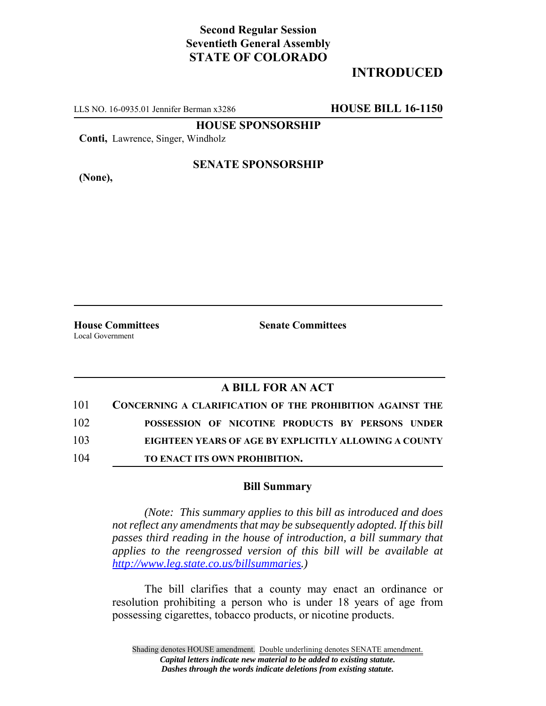# **Second Regular Session Seventieth General Assembly STATE OF COLORADO**

# **INTRODUCED**

LLS NO. 16-0935.01 Jennifer Berman x3286 **HOUSE BILL 16-1150**

**HOUSE SPONSORSHIP**

**Conti,** Lawrence, Singer, Windholz

**(None),**

### **SENATE SPONSORSHIP**

Local Government

**House Committees Senate Committees** 

### **A BILL FOR AN ACT**

| 101 | <b>CONCERNING A CLARIFICATION OF THE PROHIBITION AGAINST THE</b> |
|-----|------------------------------------------------------------------|
| 102 | POSSESSION OF NICOTINE PRODUCTS BY PERSONS UNDER                 |
| 103 | EIGHTEEN YEARS OF AGE BY EXPLICITLY ALLOWING A COUNTY            |
| 104 | TO ENACT ITS OWN PROHIBITION.                                    |

#### **Bill Summary**

*(Note: This summary applies to this bill as introduced and does not reflect any amendments that may be subsequently adopted. If this bill passes third reading in the house of introduction, a bill summary that applies to the reengrossed version of this bill will be available at http://www.leg.state.co.us/billsummaries.)*

The bill clarifies that a county may enact an ordinance or resolution prohibiting a person who is under 18 years of age from possessing cigarettes, tobacco products, or nicotine products.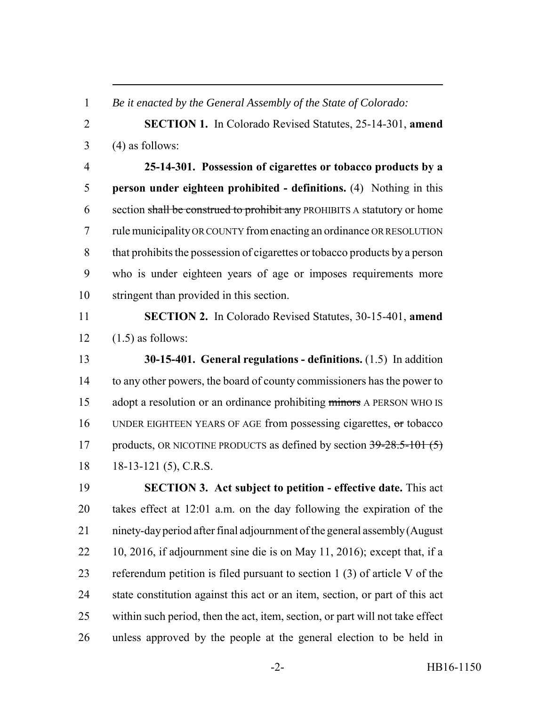*Be it enacted by the General Assembly of the State of Colorado:*

 **SECTION 1.** In Colorado Revised Statutes, 25-14-301, **amend**  $3 \qquad (4)$  as follows:

 **25-14-301. Possession of cigarettes or tobacco products by a person under eighteen prohibited - definitions.** (4) Nothing in this 6 section shall be construed to prohibit any PROHIBITS A statutory or home rule municipality OR COUNTY from enacting an ordinance OR RESOLUTION that prohibits the possession of cigarettes or tobacco products by a person who is under eighteen years of age or imposes requirements more stringent than provided in this section.

 **SECTION 2.** In Colorado Revised Statutes, 30-15-401, **amend** 12  $(1.5)$  as follows:

 **30-15-401. General regulations - definitions.** (1.5) In addition to any other powers, the board of county commissioners has the power to 15 adopt a resolution or an ordinance prohibiting minors A PERSON WHO IS UNDER EIGHTEEN YEARS OF AGE from possessing cigarettes, or tobacco 17 products, OR NICOTINE PRODUCTS as defined by section 39-28.5-101 (5) 18 18-13-121 (5), C.R.S.

 **SECTION 3. Act subject to petition - effective date.** This act takes effect at 12:01 a.m. on the day following the expiration of the ninety-day period after final adjournment of the general assembly (August 10, 2016, if adjournment sine die is on May 11, 2016); except that, if a referendum petition is filed pursuant to section 1 (3) of article V of the state constitution against this act or an item, section, or part of this act within such period, then the act, item, section, or part will not take effect unless approved by the people at the general election to be held in